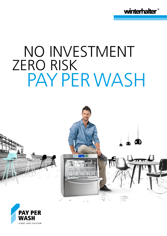

# NO INVESTMENT ZERO RISK PAY PER WASH



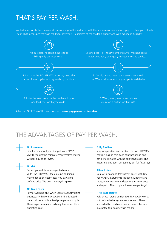## THAT'S PAY PER WASH.

Winterhalter boosts the commercial warewashing to the next level: with the first warewasher you only pay for when you actually use it. That means perfect wash results for everyone – regardless of the available budget and with maximum flexibility.



All about PAY PER WASH in an info video: **www.pay-per-wash.biz/video**

## THE ADVANTAGES OF PAY PER WASH.

 Don't worry about your budget: with PAY PER WASH you get the complete Winterhalter system without having to invest.



### **No risk**

**No investment**

 Protect yourself from unexpected costs: With PAY PER WASH there are no additional maintenance or repair costs. You pay a predefined price. We take on everything else.

#### **No fixed costs**

 Pay for washing only when you are actually doing business: With PAY PER WASH, billing is based on actual use – with a fixed price per wash cycle. These expenses are immediately tax-deductible as operating costs.

#### **Fully flexible**

 Stay independent and flexible: the PAY PER WASH contract has no minimum contract period and can be terminated with no additional costs. This means no long-term obligations, just full flexibility!

#### **All-inclusive**

 Deal with clear and transparent costs: with PAY PER WASH, everything's included. Machine and racks, water treatment, detergent, maintenance and repairs. The complete hassle-free package!

#### **First-class quality**

 Rely on real brand quality: PAY PER WASH works with Winterhalter system components. These are perfectly coordinated with one another and guarantee top-quality wash results!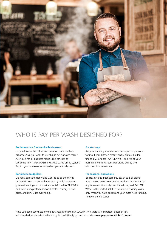

## WHO IS PAY PER WASH DESIGNED FOR?

#### **For innovative foodservice businesses**

Do you look to the future and question traditional approaches? Do you want to use things but not own them? Are you a fan of business models like car sharing? Welcome to PAY PER WASH and a use-based billing system: Pay for your warewasher only when you actually use it.

#### **For precise budgeters**

Do you appreciate clarity and want to calculate things properly? Do you want to know exactly which expenses you are incurring and in what amounts? Use PAY PER WASH and avoid unexpected additional costs. There's just one price, and it includes everything.

#### **For start-ups**

Are you planning a foodservice start-up? Do you want to fit out your kitchen professionally but are limited financially? Choose PAY PER WASH and realise your business dream! Winterhalter brand quality and with no initial investment.

#### **For seasonal operations**

Ice cream cafes, beer gardens, beach bars or alpine huts: Do you own a seasonal operation? And won't use appliances continuously over the whole year? PAY PER WASH is the perfect solution: You incur washing costs only when you have guests and your machine is running. No revenue: no costs!

Have you been convinced by the advantages of PAY PER WASH? Then there's an important question left: How much does an individual wash cycle cost? Simply get in contact via **www.pay-per-wash.biz/contact**